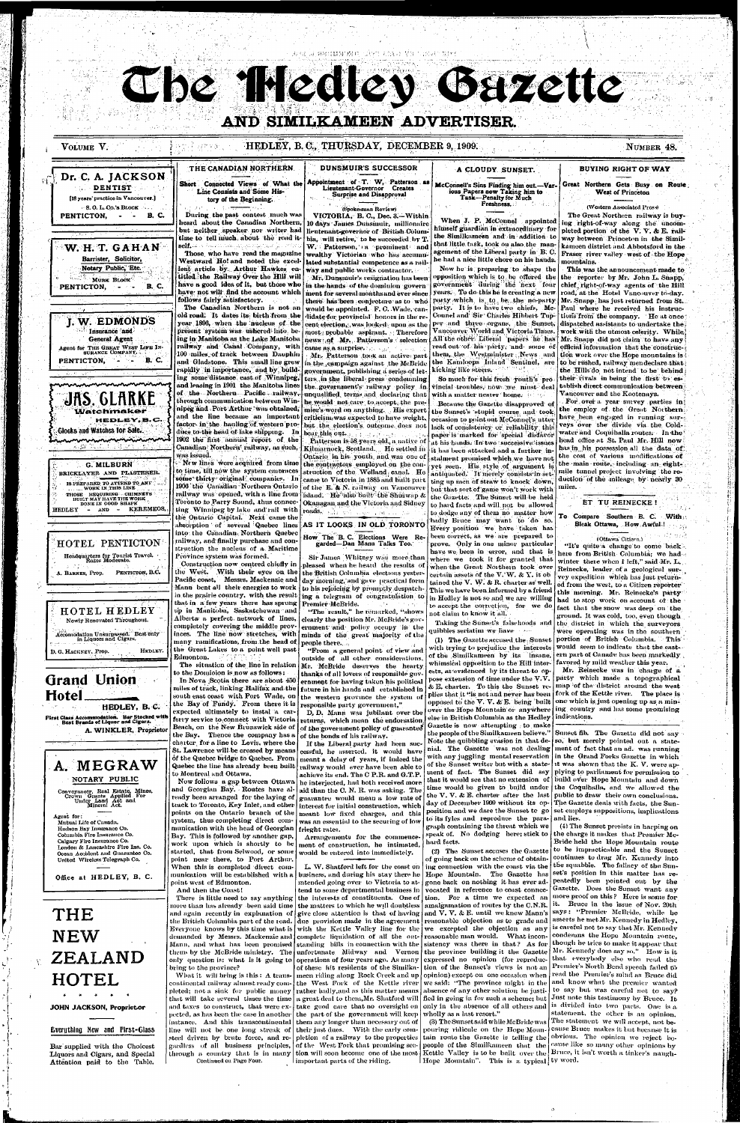海湖 玩 网络红色红斑鸡 医银管 无效的 聚苯乙氧烷基

The Medies Guzette

## AND SIMILKAMEEN ADVERTISER.

VOLUME V.

PENTICTON,

PENTICTON,

PENTICTON,

Dr. C. A. JACKSON

[18 years' practice in Vancouver.]

W. H. T. GAHAN

Barrister, Solicitor,

Notary Public, Etc.

MURK BLOCK

I. W. EDMONDS

Insurance and

**General Agent** 

Agent for THE GREAT WEST LIFE IN-<br>SURANCE COMPANY.

**JAS. GLARKE** 

Watchmaker

G. MILBURN

BRICKLAYER AND PLASTERER.

IS PREPARED TO ATTEND TO ANY

THOSE REQUIRING CILIMNETS

BUILT MAY HAVE THE WORK<br>DONE IN GOOD SHAPE

HOTEL PENTICTON

Headquarters for Tourist Travel.<br>Rates Moderate.

A. BARNES, Prop. PENTICTON, B.C.

WORK IN THIS LINE

 $-$  AND  $-$ 

**HEDLEY** 

Glocks and Watches for Sale.

HEDLEY, B.C.

KEREMEOS.

 $\blacksquare$   $\blacksquare$   $\blacksquare$   $\blacksquare$   $\blacksquare$   $\blacksquare$   $\blacksquare$   $\blacksquare$   $\blacksquare$   $\blacksquare$   $\blacksquare$   $\blacksquare$   $\blacksquare$   $\blacksquare$   $\blacksquare$   $\blacksquare$   $\blacksquare$   $\blacksquare$   $\blacksquare$   $\blacksquare$   $\blacksquare$   $\blacksquare$   $\blacksquare$   $\blacksquare$   $\blacksquare$   $\blacksquare$   $\blacksquare$   $\blacksquare$   $\blacksquare$   $\blacksquare$   $\blacksquare$   $\blacks$ 

 $\bullet$  S.O. L. Co.'s BLOCK

**B. C.** 

**B. C.** 

DENTIST

#### HEDLEY, B.C., THURSDAY, DECEMBER 9, 1909.

NUMBER 48.

#### **BUYING RIGHT OF WAY**

Great Northern Gets Busy on Route West of Princeton

#### (Western Associated Press)

The Great Northern railway is buying right-of-way along the uncompleted portion of the V.V. & E. railway between Princeton in the Similkameen district and Abbotsford in the Fraser river valley west of the Hope mountains.

This was the announcement made to the reporter by Mr. John L. Snapp. chief right-of-way agents of the Hill road, at the Hotel Vancouver to-day. Mr. Snapp has just returned from St. Paul where he received his instructions from the company. He at once dispatched assistants to undertake the work with the utmost celerity. While, Mr. Snapp did not claim to have any official information that the construction work over the Hope mountains is to be rushed, railway mendeclare that the Hills do not intend to be behind? their rivals in being the first to establish direct communication between Vancouver and the Kootenays.

. For over a year survey parties in the employ of the Great Northern have been engaged in running surveys over the divide via the Coldwater and Coquiballa routes. In the head office at St. Paul Mr. Hill now has in his possession all the data of the cost of various modifications of the main route, including an eightmile tunnel project involving the reduction of the mileage by nearly 30 miles.

#### ET TU REINECKE!

To Compare Southern B. C. With Bleak Ottawa, How Awful!

(Ottawa Citizen.) "It's quite a change to come back. here from British Columbia; we had winter there when I left," said Mr. L. Reinecke, leader of a geological survey expedition which has just return-

#### Short Connected Views of What the Line Consists and Some History of the Beginning.

During the past contest much was heard about the Canadian Northern, but neither speaker nor writer had time to tell much about the road it-

Those, who have read the magazine Westward Ho! and noted the excellent article by Arthur Hawkes entitled the Railway Over the Hill will have a good idea of it, but those who have not will find the account which

old road. It dates its birth from the year 1896, when the nucleus of the present system was ushered into being in Manitoba as the Lake Manitoba railway and Canal Company, with 100 miles of track between Dauphin and Gladstone. This small line grew rapidly in importance, and by building some distance east of Winnipeg, and leasing in 1901 the Manitoba lines of the Northern Pacific railway, through communication between Winnipeg and Port Arthur was obtained. and the line became an important factor in the hauling of western produce to the head of lake shipping. In 1902 the first annual report of the Canadian Northern railway, as such, was issued.

to time, till now the system embraces some thirty original companies. In 1906 the Canadian Northern Ontario railway was opened, with a line from Toronto to Parry Sound, thus connecting Winnipeg by lake and rail with the Ontario Capital. Next came the

absorption of several Quebec lines into the Canadian Northern Quebec railway, and finally purchase and construction the nucleus of a Maritime

as da<del>re</del>

THE CANADIAN NORTHERN

self. And a formation in a specific property of the

follows fairly satisfactory.

The Canadian Northern is not an

New lines were acquired from time

Province system was formed.

Construction now centred chiefly in

**DUNSMUIR'S SUCCESSOR** 

Appointment of T. W. Patterson as Lieutenant-Governor Creates **Surprise and Disapproval** 

#### (Spokesman Review)

VICTORIA, B. C., Dec. 3.-Within 10 days James Dunsmuir, millionaire lieutenant-governor of British Columbin. will retire, to be succeeded by T. W. Patterson, a prominent and wealthy Victorian who has accumulated substantial competence as a railway and public works contractor.

Mr. Dunsmuir's resignation has been in the hands of the dominion govern ment for several months and ever since there has been conjecture as to who would be appointed. F. C. Wade, candidate for provincial honors in the recent election, was looked, upon as the most probable aspirant. Therefore news: of Mr. Patterson's selection **came as a surprise.** All the same of

Mr. Patterson took an active part in the campaign against the McBride government, publishing a series of letters, in the liberal press condemning the government's railway policy in unqualified terms and declaring that he would not care to accept, the premier's word on anything. His expert criticism, was expected to have weight, but the election's outcome does not bear this out.

Patterson is 58 years old, a native of Kilmarnock, Scotland. He settled in Ontario in his youth, and was one of the contractors employed on the construction of the Welland canal. He came to Victoria in 1885 and built part of the E. & N. railway on Vancouver island. He also built the Shuswap & Okanagan and the Victoria and Sidney roads. ik ∄a merit i shum **Carl Miller Law** 

AS IT LOOKS IN OLD TORONTO

How The B. C. Elections Were Regarded-Dan Mann Talks Too.

Sir James Whitney was more than pleased when he heard the results of when the Great Northern took over the West. With their eyes on the the British Columbia elections yester-Pacific coast, Messts. Mackenzie and  $\frac{1}{\text{day}}$  morning, and gave practical form

#### A CLOUDY SUNSET.

McConnell's Sins Finding him out.-Var-

ious Papers now Taking him to

Task-Penalty for Much

Freshness.

When J. P. McConnel appointed

himself guardian in extraordinary for

the Similkameen and in addition to

that little task, took on also the man-

agement of the Liberal party in B.C.

he had a nice little chore on his hands.

Now he is preparing to shape the

opposition which is to be offered the

government during the next four

years. To do this he is creating a new

party which is to be the no-party

party. It is to have two chiefs, Mc-

Councl and Sir Charles Hibbert Tup-

per and three organs, the Sunset,

Vancouver World and Victoria Times.

All the other Liberal papers he has

read out of his party, and some of

them, the Westminister News and

the Kamloops Inland Sentinel, are

So much for this fresh youth's pro

vincial troubles, now we must deal

Because the Gazette disapproved of

the Sunset's stupid course, and took

occasion to point out McConnel's utter

lack of consistency or reliability this

paper is marked for special disfavor

at his hands. In two successive issues

it has been attacked and a further in-

stalment promised which we have not

yet seen. His style of argument is

antiquated. It merely consists in set-

ting up men of straw to knock down,

but that sort of game won't work with

the Gazette. The Sunset will be held

to hard facts and will not be allowed

to dodge any of them no matter how

badly Bruce may want to do so.

Every position we have taken has

been correct, as we are prepared to

prove. Only in one minor particular

have we been in error, and that is

where we took it for granted that

certain assets of the V.W. & Y. it ob

with a matter nearer home.

kicking like steers.





A. WINKLER, Proprietor

## A. MEGRAW NOTARY PUBLIC

Convoyancer, Real Estate, Mines,<br>Crown Grants Applied For<br>Under Land Act and<br>Mineral Act.

Agent for: Mutual Life of Canada. Hudson Bay Insurance Co. Columbia Fire Insurance Co. Calgary Fire Insurance Co. London & Lancashiro Firo Ins. Co. Ocean Accident and Guarantee Co. United Wireless Telegraph Co.

Office at HEDLEY, B. C.

# THE **NEW** ZEALAND HOTEL

JOHN JACKSON, Proprietor

#### Everything New and First-Glass

Bar supplied with the Choicest Liquors and Cigars, and Special Attention paid to the Table.

in the prairie country, with the result that in a few years there has sprung up in Manitoba, Saskatchewan and Alberta a perfect network of lines. completely covering the middle provinces. The line now stretches, with many ramifications, from the head of the Great Lakes to a point well past Edmonton.

The situation of the line in relation to the Domioion is now as follows: In Nova Scotia there are about 450 miles of track, linking Halifax and the south east coast with Port Wade, on the Bay of Fundy. From there it is expected ultimately to instal a carferry service to connect with Victoria Beach, on the New Brunswick side of the Bay. Thence the company has a charter, for a line to Levis, where the St. Lawrence will be crossed by means of the Quebec bridge to Quebec. From | meant a delay of years, if indeed the Quebec the line has already been built to Montreal and Ottawa.

Now follows a gap between Ottawa and Georgian Bay. Routes have al- aid than the C.N.R. was asking. The ready been arranged for the laying of guarantee would mean a low rate of track to Toronto, Key Inlet, and other | interest for initial construction, which points on the Ontario branch of the system, thus completing direct communication with the head of Georgian | frieght rates. Bay. This is followed by another gap, work upon which is shortly to be started, that from Selwood, or some point near there, to Port Arthur. When this is completed direct communication will be established with a point west of Edmonton.

And then the Coast!

more than has already -been said time  $\mid$  the matters to which he will doubtless  $\mid$ and again recently in explanation of give close attention is that of having and V.V. & E. until we knew Mann's the British Cohambia part of the road. Everyone knows by this time what is with the Kettle Valley line for the we excepted the objection as any demanded by Messrs. Mackenzie and Mann, and what has been promised them by the McBride ministry. The only question is: what is it going to bring to the province?

What it will bring is this:  $\Lambda$  transcontinental railway almost ready completed; not a sink for public money rather badly, and as this matter means that will take several times the time | a great deal to them, Mr. Shatford will and taxes to construct, that were ex- take good care that no oversight on pected, as has been the case in another instance. And this transcontinental line will not be one long streak of steel driven by brute force, and regardless of all business principles,

ing a telegram of congratulation to in Hedley is not so and we are willing  $\frac{1}{2}$  ,  $\frac{1}{2}$  ,  $\frac{1}{2}$ Premier McBride.

"The result," he remarked, "shows" clearly the position Mr. McBride's government and policy occupy in the minds of the great majority of the people there....

"From a general point of view and outside of all other considerations, Mr. McBride deserves the hearty thanks of all lovers of responsible government for having taken his political future in his hands and established in the western province the system of responsible party government,"

D, D. Mann was jubilant over the returns, which mean the endorsation of the government policy of guarantee of the bonds of his railway.

If the Liberal party had been successful, he asserted, it would have | railway would | ever have been able to | achieve its end. The C P.R. and G.T.P. he interjected, had both received more meant low fixed charges, and this was an essential to the securing of low

Arrangements for the commencement of construction, he intimated, would be entered into immediately.

L. W. Shatford left for the coast on business, and during his stay there he intended going over to Victoria to attend to some departmental business in There is little need to say anything the interests of constituents. One of standing bills in connection with the unfortunate Midway and Vernon operations of four years ago. As many of these hit residents of the Similka-

meen riding along Rock Creek and up the West Fork of the Kettle river the part of the government will keep

them any longer than necessary out of their just dues. With the early com-  $\,$ pletion of a railway to the properties of the West Fork that promising secthrough a country that is in many tion will soon become one of the most Important parts of the riding.

tained the V. W. & R. charter as well. Mann bent all their energies to work to his rejoicing by promptly despatch- This we have been informed by a friend to accept the correction, for we do not claim to know it all.

> Taking the Sunset's falsehoods and quibbles seriatim we have

with trying to prejudice the interests of the Similkameen by its insane, whimsical opposition to the Hill interests, as evidenced by its threat to opelse in British Columbia as the Hedley Gazette is now attempting to make the people of the Similkameen believe." with any juggling mental reservation to its fyles and reproduce the paragraph containing the threat which we speak of. No dodging here; stick to hard facts.

(2) The Sunset accuses the Gazette of going back on the scheme of obtaining connection with the coast via the Hope Mountain. The Gazette has gone back on nothing it has ever advocated in reference to coast connection. For a time we expected an amalgamation of routes by the C.N.R.  $\int d\mathbf{u}$  are provision made in the agreement reasonable objection as to grade and complete liquidation of all the out- reasonable man would. What inconsistency was there in that? As for the province building it the Gazette expressed no opinion (for reproduction of the Sunset's views is not an opinion) except on one occasion when we said: "The province might in the absence of any other solution be justified in going in for such a scheme; but only in the absence of all others and wholly as a last resort."

(3) The Sunset said while McBride was pouring ridicule on the Hope Mountain route the Gazette is telling the people of the Similkameen that the Kettle Valley is to be built over the Hope Mountain". This is a typical ty word.

ed from the west, to a Citizen reporter this morning. Mr. Reinecke's party had to stop work on account of the fact that the snow was deep on the ground. It was cold, too, even though the district in which the surveyors were operating was in the southern (1) The Gazette accused the Sunset portion of British Columbia. This would seem to indicate that the eastern part of Canade has been markedly favored by mild weather this year.

Mr. Reinecke was in charge of a pose extension of time under the  $V, V$ . party which made a topographical & E. charter. To this the Sunset re- map of the district around the west plies that it "is not and never has been | fork of the Kettle river. The place is opposed to the V.V. & E. being built one which is just opening up as a minover the Hope Mountain or anywhere ing country and has some promising indications.

Sunset fib. The Gazette did not say Note the quibbling evasion in that de- so, but merely pointed out a statenial. The Gazette was not dealing ment of fact that an ad. was running in the Grand Forks Gazette in which of the Sunset writer but with a state- it was shown that the K.V. were apment of fact. The Sunset did say plying to parliament for permission to that it would see that no extension of  $\vert$  build over Hope Mountain and down time would be given to build under the Coquiballa, and we allowed the the V.V. & E. charter after the last public to draw their own conclusions. day of December 1909 without its op- The Gazette deals with facts, the Sunposition and we dare the Sunset to  $\,$  go  $\,$  set employs suppositions, implications and lies.)

(4) The Sunset persists in harping on the charge it makes that Premier Mc-Bride held the Hope Mountain route to be impracticable and the Sunset continues to drag Mr. Kennedy into the squabble. The fallacy of the Sunset's position in this matter has repeatedly been pointed out by the Gazette. Does the Sunset want any more proof on this? Here is some for it. Bruce in the issue of Nov. 20th says: "Premier McBride, while he asserts he met Mr. Kennedy in Hedley, is careful not to say that Mr. Kennedy condenius the Hope Mountain route, though he tries to make it appear that Mr. Kennedy does say so." How is it that everybody else who read the Premier's North Bend speech failed to read the Premier's mind as Bruce did and know what the premier wanted to say but was careful not to say? Just note this testimony by Bruce. It is divided into two parts. One is a statement, the other is an opinion. The statement we will accept, not beeause Bruce makes it but because it is obvious. The opinion we reject because like so many other opinions by

Bruce, it isn't worth a tinker's naugh-

Continued on Page Four.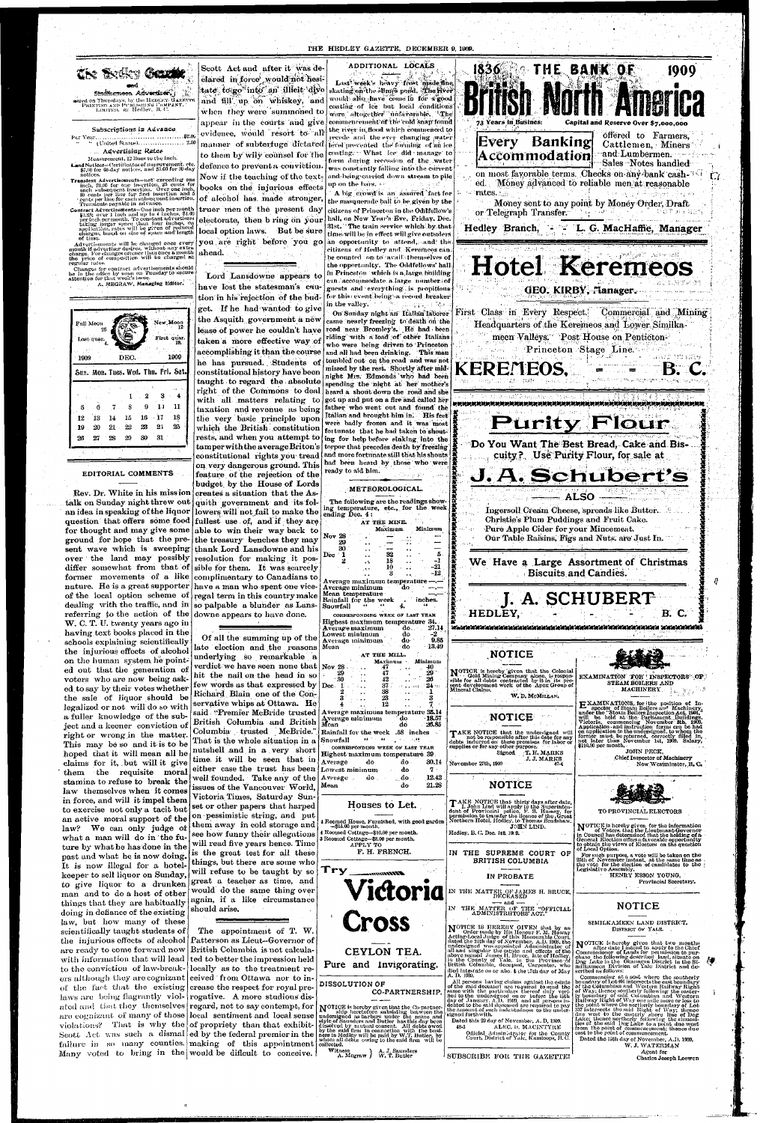#### THE HEDLEY GAZETTE, DECEMBER 9, 1909.

ed on Thursdays, by the HEDLEY GAZETT PEINTING AND PUBLISHING COMPANY.<br>- LIMITED. | as | Hedley. | B. C.

#### Subscriptions in Advance

" (United States).................... 2.50 Advertising Rates

Measurement, 12 lines to the inch.

Land Notices-Certificates of improvement, etc.<br>\$7,00 for 60-day notices, and \$5,00 for 30-day notices.

Translent Advertisements-not exceeding one including the control including the control of the control of the control of the control of the control of the control of the control of the control of the control of the control of the control of the control of the contro

Contract Advertisements-One inch per month merical according to the inches port month  $$1.25$ ; over 1 inch and trp to 4 inches,  $$1.00$  per inches as  $$1.00$  per inches taking larger space than four inches, on application, rates will be given of reduced charges, b of time.

Matter<br>is an advertiser desires, without any extra<br>nouth if advertiser desires, without any extra<br>charge. For changes oftener than once a month<br>the price of composition will be charged at<br>northwater regular rates.

Changes for contract advertisements should<br>be in the office by noon on Tuesday to secure<br>attention for that week's issue.

A. MEGRAW, Managing Editor.



#### EDITORIAL COMMENTS

talk on Sunday night threw out quith government and its folan idea in speaking of the liquor lowers will not fail to make the question that offers some food fullest use of, and if they are for thought and may give some able to win their way back to ground for hope that the pre- the treasury benches they may sent wave which is sweeping thank Lord Lansdowne and his over the land may possibly resolution for making it posdiffer somewhat from that of sible for them. It was scarcely former movements of a like complimentary to Canadians to nature. He is a great supporter have a man who spent one viceof the local option scheme of regal term in this country make dealing with the traffic, and in so palpable a blunder as Lansreferring to the action of the downe appears to have done. W. C. T. U. twenty years ago in having text books placed in the schools explaining scientifically the injurious effects of alcohol on the human system he pointed out that the generation of voters who are now being asked to say by their votes whether the sale of liquor should be legalized or not will do so with a fuller knowledge of the subject and a keener conviction of right or wrong in the matter. This may be so and it is to be hoped that it will mean all he claims for it, but will it give them the requisite moral stamina to refuse to break the law themselves when it comes in force, and will it impel them to exercise not only a tacit but an active moral support of the law? We can only judge of what a man will do in the future by what he has done in the past and what he is now doing. It is now illegal for a hotel keeper to sell liquor on Sunday, to give liquor to a drunken man and to do a host of other things that they are habitually doing in defiance of the existing law, but how many of these scientifically taught students of the injurious effects of alcohol are ready to come forward now with information that will lead to the conviction of law-breakers although they are cognizant eeived from Ottawa nor to inof the fact that the existing crease the respect for royal prelaws are being flagrantly viol- rogative. A more studious disated and that they themselves regard, not to say contempt, for are cognizant of many of those local sentiment and local sense violations? That is why the of propriety than that exhibit-Scott Act was such a dismalled by the federal premier in the failure in so many counties. making of this appointment Many voted to bring in the would be dificult to conceive.

Scott Act and after it was declared in force would not hesitate to go into an illicit dive and fill up on whiskey, and when they were summoned to

appear in the courts and give evidence, would resort to all manner of subterfuge dictated to them by wily counsel for the defence to prevent a conviction.

Now if the teaching of the textbooks on the injurious effects of alcohol has made stronger, truer men of the present day local option laws. But be sure you are right before you go

ahead.

Lord Lansdowne appears to have lost the statesman's caution in his rejection of the budget. If he had wanted to give the Asquith government a new lease of power he couldn't have taken a more effective way of accomplishing it than the course he has pursued. Students of constitutional history have been taught to regard the absolute right of the Commons to deal with all matters relating to taxation and revenue as being the very basic principle upon which the British constitution rests, and when you attempt to tamper with the average Briton's constitutional rights you tread on very dangerous ground. This feature of the rejection of the budget, by the House of Lords Rev. Dr. White in his mission creates a situation that the As-

#### ADDITIONAL LOCALS

Last week's heavy front made the skating on the slimes pond. The fiver would also have come in for a good coating of ice but local conditions were altogether unfavorable. The commencement of the cold snap found the river in flood which commenced to recede and the ever changing water level prevented the forming of an ice conting. What ice did manage to form during recession of the water was constantly falling into the current and being carried down stream to pile up on <mark>th</mark>e bars, **c** 

A big crowd is an assured fact for the masquerade ball to be given by the citizens of Princeton in the Oddfellow's electorate, then b ring on your hall, on New Year's Eve, Friday, Dec. 31st. The train service which by that time will be in effect will give outsiders an opportunity to attend, and the  $\,$ itizens of Hedley and Keremeos can $\,$ be counted on to avail themselves of the opportunity. The Oddfellows' hall in Princeton which is a large building eun accommodate a large mumber of guests and everything is propitious. for this event being a record breaker in the valley,  $\mathbb{R}^n$ Lingar, et Ab On Sunday night an Italian laborer came nearly freezing to death on the road near Bromley's. He had been riding with a load of other Italians who were being driven to Princeton and all had been drinking. This man tumbled out on the road and was not missed by the rest. Shortly after midnight Mrs. Edmonds who had been spending the night at her mother's heard a shout down the road and she got up and put on a fire and called her father who went out and found the Italian and brought him in. His feet were hadly frozen and it was most fortunate that he had taken to shouting for help before sinking into the torpor that precedes death by freezing and more fortunate still that his shouts had been heard by those who were ready to aid him.

METEOROLOGICAL.

AT THE MINE.

Maximum.

32

18

ending Dec. 4:

Dec



Of all the summing up of the late election and the reasons underlying so remarkable a verdict we have seen none that  $\sqrt{\frac{1}{N_v}}$  28 hit the nail on the head in so few words as that expressed by  $\log$ Richard Blain one of the Conservative whips at Ottawa. He said "Premier McBride trusted British Columbia and British Columbia trusted McBride." That is the whole situation in a nutshell and in a very short time it will be seen that in either case the trust has been well founded. Take any of the issues of the Vancouver World, Victoria Times, Saturday Sunset or other papers that harped on pessimistic string, and put them away in cold storage and see how funny their allegations will read five years hence. Time is the great test for all these things, but there are some who will refuse to be taught by so great a teacher as time, and would do the same thing over again, if a like circumstance should arise.

The appointment of T. W. Patterson as Lieut-Governor of British Columbia is not calculated to better the impression held locally as to the treatment re-

10 **Biscuits and Candies.** -12 -8 Average maximum temperature Average minimum Mean temperature I. A. SCHUBERT Rainfall for the week inches. Snowfall HEDLEY. B. C. CORRESPONDING WEEK OF LAST YEAR Highest maximum temperature 34. isiminin di dina mata yang di dina mata di dina mata di dina mata di dina mata di dina mata di dina mata di di Average maximum do.  $27.14$ -2 Lowest minimum do  $0.85$ do Average minimum 13.49 Mean do **NOTICE** AT THE MILL. Minimum Maximum 47 NOTICE is hereby given that the Colonial Gold Mining Company alone, is responsible for all dobts contracted by it in its pre- $29<sup>°</sup>$ 47 EXAMINATION FOR INSPECTORS OF 30  $26$ 42 STEAM BOILERS AND sent development work of the Apex Group of 37  $24$ -11  $\ddot{\phantom{a}}$  $\pm 3$  , and  $\pm 4$  , and  $\pm$ **MACHINERY** 38 كالمتعاطف والمحاف W. D. MCMILLAN. 23 **EXAMINATIONS**, for the position of Inspector of Steam Boilers and Machinery, under the "Stoam Boilers Inspection Act, 1901," will be held at the Parliament Buildings. Victoria, commencing November 8th, 1909. Application a  $12$ Average maximum temperature 35.14 **NOTICE** Average minimum dο - 18.57 Mean dó 26.85 TAKE NOTICE that the undersigned will<br>not be responsible after this date for any<br>debts indurred on these premises for labor or<br>supplies or for any other purpose. Rainfall for the week .58 inches  $\left( 44.2 \times 44 \right)$  ,  $\left( \frac{1}{2}, \frac{1}{2} \right)$ Snowfall  $-1.66$ CORRESPONDING WEEK OF LAST YEAR **JOHN PECK,** Signed T. H. MARKS Highest maximum temperature 39 Chief Inspector of Machinery J. J. MARKS Average 30.14 do do .<br>November 27th, 1909 New Westminster, B.C. Lowest minimum do  $\mathbf{7}$ **Average** do do 12.42 **NOTICE** 21.28 Mean do TAKE NOTICE that thirty days after date,<br>I, John Lind will apply to the Superintentent of Provincial police, F. S. Hussey, for<br>permission to transfer the licence of the Great<br>Northern Hotel, Hedley, to Thomas Bradshaw. Houses to Let. TO PROVINCIAL ELECTORS Roomed House, Furnished, with good garden NOTICE is hereby given for the information<br>of Voters, that the Lieutenant-Governor<br>in Council has determined that the holding of a<br>General Election offers a favorable opportunity<br>to obtain the views of Electors on the ques  $-$ \$15.00 per month. JOHN LIND. 1 Roomed Cottage-\$10.00 per month. Hedley, B. C. Dec. 1st, 19(9, Roomed Cottage-\$8.00 per month.<br>APPLY TO of Local Option. F. H. FRENCH. IN THE SUPREME COURT OF For such purpose, a vote will be taken on the<br>25th of November instant, at the same time as<br>the vote for the election of candidates to the **BRITISH COLUMBIA** Try Legislative Assembly. **Ott Stanner** HENRY ESSON YOUNG, IN PROBATE **Provincial Secretary.** Victoria IN THE MATTER OF JAMES H. BRUCE,<br>DECEASED  $-$  and  $-$ NOTICE IN THE MATTER OF THE "OFFICIAL ADMINISTRHTORS ACT." Cross SIMILKAMEEN LAND DISTRICT. NOTICE IS HEREBY GIVEN that by an order made by His Honour F. M. Howay<br>Acting-Local Judge of this Honourable Court,<br>dated the 24th day of November, A.D. 1908, the<br>undersigned was appointed Administrator of<br>management the e DISTRICT OF YALE. NOTICE is hereby given that two months after date I intend to apply to the Chief Commissioner of Lands for permission to purchase the oflowing described land, situate on Dog Lake in the Okanagan District in the Similizanea all and singular the existe and effects of the<br>above mained James H, Bruce, late of Hedley,<br>in the County of Yale, in the Province of<br>British Columbia, deceased, Carpenter, who CEYLON TEA. Pure and Invigorating. died intestate on or abo. t the 17th day of May A. D. 1909. scribed as follows:<br>
Commencing at a post where the southerly<br>
commencing at a post where the southedry<br>
condary of Lot 46! intersects the east boundary<br>
of the Columbian and Western Railway Right<br>
of Way; thence southerly A. 12, 1356.<br>
All persons having chaims against the estate<br>
of the said deceased are required to send the<br>
same with the particulars thereof duly veri-<br>
fied to the undersigned on or before the 15th<br>
day of January, A.D. **DISSOLUTION OF** CO-PARTNERSHIP. NOTICE is hereby given that the Co-partner-<br>ship heretofore subsisting between the<br>undersigned as barbers under the name and<br>style of Saunders and Butler has this day been<br>dissolved by nutual consent. All debts owed<br>by the Dated this 29 day of November, A.D. 1909. 48-3 ALEC. D. MACINTYRE from the point of commencement; thence due Official Administrator for the County<br>Court, District of Yale, Kamloops, B.C. east to the point of commencement. Dated the 15th day of November, A.D. 1909. collected. W. J. WATERMAN Witness A. J. Saunders<br>A. Megraw } W. T. Butler Agent for SUBSCRIBE FOR THE GAZETTE!

Charles Joseph Loowen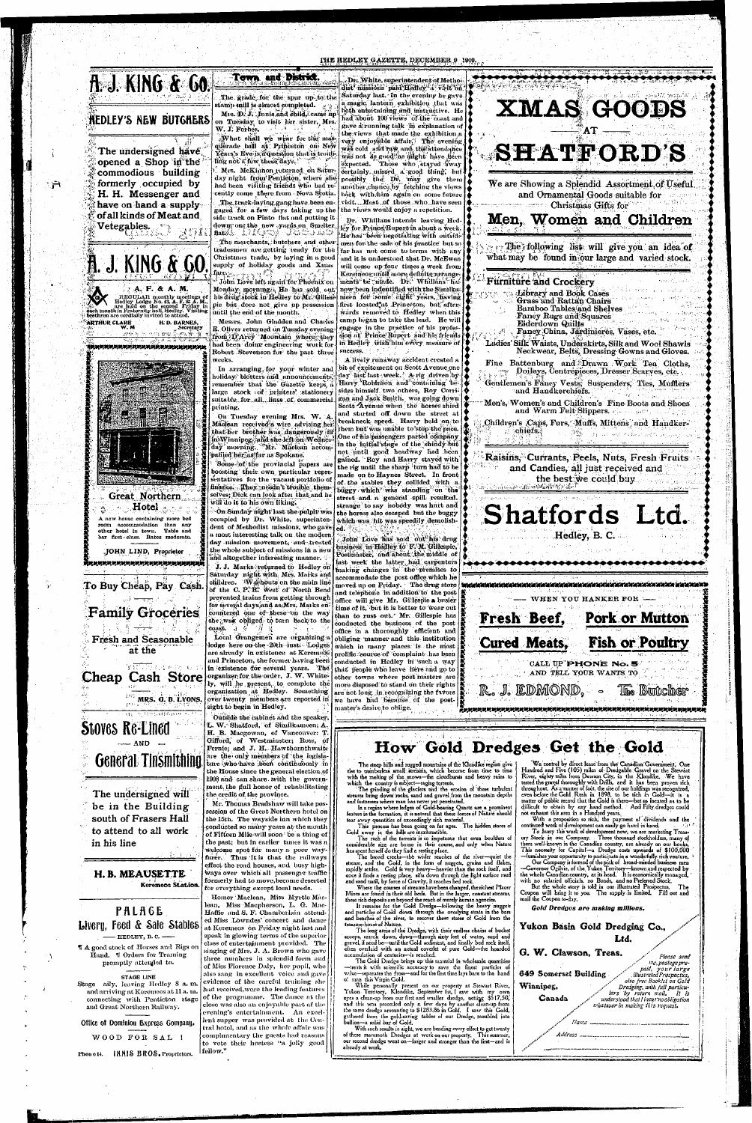#### THE HEDLEY GAZETTE, DECEMBER 9 1909



# **HEDLEY'S NEW BUTGHERS**

The undersigned have opened a Shop in the commodious building formerly occupied by H. H. Messenger and have on hand a supplyof all kinds of Meat and Vetegables. **The Veteral** 

ंनि

A. J. KING & 60 A. F. & A. M. REGULAR monthly meetings of Hedloy Lodge No. 43, A. F. & A. M., are held on the second Friday in each month in Fraternity hall, Hedley. Visiting **ARTHUR CLARE** H.D. BARNES, ndu tre liver de l 

**Great Northern** Hotel.

A new house containing more bed room accommodation than any other hotel in town. Table and bar first class. Rates moderate.

JOHN LIND, Proprietor 

The grade for the spur up to the tamp mill is almost completed. Mrs. D. J. Junis and child, came up on Tuesday, to visit her sister, Mrs. W. J. Forbes.

Town and District.

What shall we wear for the masquerade ball at Princeton on New Yéars's Eve is a question that is troubling not if few these days. " Mrs. McKinnon returned on Saturday night from Penticton, where slie

had been visiting friends who had recently come there from Nova Scotia. The track-laying gang have been engaged for a few days taking up the side track on Pinto flat and putting it down on the new vards on Smelter, The merchants, butchers and other tradesmen are getting ready for the Christmas trade, by laying in a good

supply of holiday goods and Xmas Monday morning.), He has sold out his drug stock in Hedley to Mr. Gilles.

pie but does not give up possession until the end of the month. Messrs. John Gladden and Charles

E. Oliver returned on Tuesday evening from D'Arcy Mountain where they had been doing engineering work for Robert Stevenson for the past three weeks.

In arranging for your winter and holiday/ blotters and announcements, remember that the Gazette keeps a large stock of printers' stationery suitable for all linss of commercial printing.

On Tuesday evening Mrs. W. A. Maclean received à wire advising her that her brother was dangerously ill in Winnipeg, and she left on Wednesday morning. "Mr. Maclean accompanied her us far as Spokane.

Some of the provincial papers are boosting their own particular representatives for the yacant portfolio of finance. They needn't trouble them. selves; Dick can look after that and he will do it to his own liking.

On Sunday night last the pulpit was occupied by Dr. White, superintendent of Methodist missions, who gave a most interesting talk on the modern day mission movement, and treated the whole subject of missions in a new and altogether interesting manner.  $\therefore$ J. J. Marks returned to Hedley on

Dr. White, superintendent of Methodist missions paid Hedley A visit on Saturday last. In the evening he gave. a magic lantern exhibition that was both entertaining and instructive. He had about 100 views of the coast and gave arouning talk in explanation of the views that made the exhibition a very enjoyable affair, The evening was cold and ruw and the attendance was not as good as might have been expected. Those who stayed away certainly missed a good thing, but possibly the Dr. may give them another chance by fetching the views back with him again on some future visit. Most of those who have seen the views would enjoy a repetition.

Dr. Whillans intends leaving Hedley for Prince Rupert în about a week. He has been negotiating with outside men for the sale of his practice but so far has not come to terms with any and it is understood that Dr. McEwen will come up four times a week from Keremeos until more definite arrangements be made. Dr. Whillans has now been indentified with the Similkameen for some eight years, having first located at Princeton, but afterwards removed to Hedley when this camp began to take the lead. He will engage in the practice of his profession at Prince Rupert and his friends in Hedley wish him every measure of success.

A lively runaway accident created a bit of excitement on Scott Avenue one day last last week. A rig driven by | Harry Robinson and containing besides himself two others, Roy Corrigan and Jack Smith, was going down Scott Ayenue when the horses shied and started off down the street at breakneck speed. Harry held on to! them but was unable to stop the pace. One of his passengers parted company in the initial'stage of the shindy but not until good headway had been gained. Roy and Harry stayed with the rig until the sharp turn had to be made on to Haynes Street. In front of the stables they collided with a buggy which was standing on the street and a general spill resulted. strange to say nobody was hurt and the horses also escaped but the buggy which was hit was speedily demolished.

John Love has sold out his drug business, in Hedley to F. M. Gillespie, Postmaster, and about the middle of last week the latter had carpenters process we assessed to the contract the latter making changes in the premises to accommodate the post office which he moved up on Friday. The drug store and telephone in addition to the post office will give Mr. Gillespie a busier  $\vert$ time of it, but it is better to wear out than to rust out." Mr. Gillespie has conducted the business of the post office in a thoroughly efficient and  $\frac{1}{2}$ Local Grangemen are organizing a obliging manner and this institution lodge here on the 20th insti Lodges which in many places is the most prolific source of complaint has been conducted in Hedley in such a way that people who leave here and go to organizer for the order, J. W. White- other towns where post masters are ly, will be present, to complete the more disposed to stand on their rights  $\ddot{\mathbf{a}}$ organization at Hedley. Something are not long in recognizing the favors over twenty members are reported in we have had because of the postmaster's desire to oblige.



To Buy Cheap, Pay Cash.

# **Family Groceries**

**Fresh and Seasonable** at the

**Y REPORTAGE** Cheap Cash Store

MRS. G. B. LYONS.

# **Stoves Re-Lined**  $-$  AND **General Tinsmithing**

The undersigned will be in the Building south of Frasers Hall to attend to all work in his line

H. B. MEAUSETTE Keremeos Station.

**PALAGE** Livery, Feed & Sale Stables  $-$  HEDLEY, B.C.  $-$ 

If A good stock of Horses and Rigs on Hand. W Orders for Teaming promptly attended to.

**STAGE LINE** 

Stage aily, leaving Hedley 8 a.m. and arriving at Keremeos at 11 a.m. and Great Northern Railway.

Office of Dominion Express Company.

WOOD FOR SAL !

Phon o 14. INNIS BROS. Proprietors.

turday night with Mrs. Marks and children. Washouts on the main line of the C. P. R. west of North Bend prevented trains from getting through for several days, and as, Mrs. Marks encountered one of these on the way she was obliged to turn back to the coast ન જંગલ are already in existence at Keremeos and Princeton, the former having been in existence for several years. The sight to begin in Hedley.

Outside the cabinet and the speaker, L. W. Shatford, of Similkameen; A. H. B. Macgowan, of Vancouver: T. Gifford, of Westminster; Ross, of Fernie; and J. H. Hawthornthwaite are the only members of the legislature who have been continuously in the House since the general election of 1908 and can share with the government, the full honor of rehabilitating the credit of the province.

Mr. Thomas Bradshaw will take possession of the Great Northern hotel on the 15th. The wayside inn which they conducted so many years at the mouth of Fifteen Mile will soon be a thing of the past; but in earlier times it was a welcome spot for many a poor wayfarer. Thus it is that the railways. effect the road houses, and busy highways over which all passenger traffic formerly had to move, become deserted for everything except local needs.

Homer Maclean, Miss Myrtle Maclean, Miss Macpherson, L. G. Mac-Haffie and S. F. Chamberlain attended Miss Lowndes' concert and dance at Keremeos on Friday night last and speak in glowing terms of the superior class of entertainment provided. The singing of Mrs. J. A. Brown who gave three numbers in splendid form and of Miss Florence Daly, her pupil, who also sang in excellent voice and gave evidence of the careful training she had received, were the leading features connecting with Penticton stage of the programme. The dance at the close was also an enjoyable part af the evening's entertainment. An excellent supper was provided at the Central hotel, and as the whole affair was complimentary the guests had reasons to vote their hostess "a jolly good | fellow."



How Gold Dredges Get the Gold

The steep hills and rugged mountains of the Klondike region give rise to numberless amall streams, which become from time to time with the melting of the mows-the cloudbursts and heavy rains to which the country is subject-raging torrents.<br>The grinding of the glaciers and the erosion of these turbulent

streams bring down rocks, sand and gravel from the mountain depths and fastnesses where man has never yet penetrated.<br>In a region where ledges of Gold-bearing Quartz are a prominent

feature in the formation, it is natural that these forces of Nature should tear away quantities of exceedingly rich material.

This process has been going on for ages. The hidden stores of Gold away in the hills are inexhaustible.

The rush of the torrents is to impetuous that even boulders of considerable size are borne in their course, and only when Nature has spent herself do they find a resting place.

The broad creeks-the wider reaches of the river-quiet the stream, and the Gold, in the form of nuggets, grains and flakes, rapidly settles. Gold is very heavy—heavier than the rock itself, and<br>once it finds a resting place, sifts down through the light surface mud<br>and sand until, by force of Gravity, it reaches bed rock.

Where the courses of streams have been changed, the richest Placer Mines are found in their old beds. But in the larger, constant streams, these rich deposits are beyond the reach of merely human agencies.

It remains for the Gold Dredge-following the heavy nuggets<br>and particles of Gold down through the overlying strata in the bars and benches of the river, to recover these stores of Gold from the treasure-house of Nature.

The long arms of the Dredge, with their endless chains of bucket scoops, search down, down-through sixty feet of water, sand and gravel, if need be-until the Gold sediment, and finally bed rock itself. often overlaid with an actual coverlet of pure Gold-the hoarded accumulation of centuries-is reached.

The Gold Dredge brings up this material in wholesale quantities -treats it with scientific accuracy to save the finest particles of value-separates the fross-and for the first time lays bare to the hand o! man this Virgin Gold.

While personally present on our property at Stewart River, Yukon Territory, Klondike, September 1st, I saw with my own eyes a clean-up from our first and smaller dredge, netting \$517.50, and this was preceded only a few days by another elean-up from the same dredge amounting to \$1283.86 in Gold. I saw this Gold. gathered from the gold-caving tables of our Dredge, moulded into bullion-a solid bar of Gold.

With such results in sight, we are bending every elfort to get twenty of these mammoth Dredges at work on our property. This summer, our second dredge went on-larger and stronger than the first-and is already at work.

We control by direct lease from the Canadian Government, One Hundred and Five (105) miles of Dredgable Gravel on the Stewart River, eighty miles from Dawson City, in the Klondike. We have tested the gravel thoroughly with Drills, and it has been proven rich throughout. As a matter of fact, the site of our holdings was recognized, even before the Gold Rush in 1898, to be rich in Gold-it is a matter of public record that the Gold is there-but so located as to be difficult to obtain by any hand method. And Fifty dredges could not exhaust this area in a Hundred years.

With a proposition so rich, the payment of dividends and the continued work of development can easily go hand in hand.

To hurry this work of development now, we are marketing Treasury Stock in our Company. Three thousand stockholders, many of them well-known in the Canadian country, are already on our books. This necessity for Capital-a Dredge costs upwards of \$100,000

--- furnishes your opportunity to participate in a wonderfully rich venture. -Governor Ogilvie, of the Yukon Territory-known and respected by the whole Canadian country, at its head. It is economically managed, with no salaried officials, no Bonds, and no Preferred Stock.

But the whole story is told in our illustrated Prospectus. The Coupon will bring it to you. The supply is limited. Fill out and mail the Coupon to-day.

Gold Dredges are making millions. Yukon Basin Gold Dredging Co., Ltd. G. W. Clawson, Treas. Please send mc, postage prepaid, your large 649 Somerset Building illustrated Prospectus, also free Booklet on Gold Dredging, with full particu-<br>lars by return mail. It is<br>understood that I incur no obligation Winnipeg, Canada whatever in making this request.